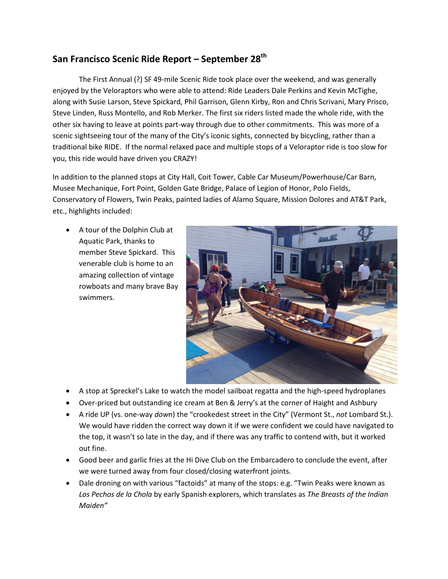## **San Francisco Scenic Ride Report – September 28th**

The First Annual (?) SF 49-mile Scenic Ride took place over the weekend, and was generally enjoyed by the Veloraptors who were able to attend: Ride Leaders Dale Perkins and Kevin McTighe, along with Susie Larson, Steve Spickard, Phil Garrison, Glenn Kirby, Ron and Chris Scrivani, Mary Prisco, Steve Linden, Russ Montello, and Rob Merker. The first six riders listed made the whole ride, with the other six having to leave at points part-way through due to other commitments. This was more of a scenic sightseeing tour of the many of the City's iconic sights, connected by bicycling, rather than a traditional bike RIDE. If the normal relaxed pace and multiple stops of a Veloraptor ride is too slow for you, this ride would have driven you CRAZY!

In addition to the planned stops at City Hall, Coit Tower, Cable Car Museum/Powerhouse/Car Barn, Musee Mechanique, Fort Point, Golden Gate Bridge, Palace of Legion of Honor, Polo Fields, Conservatory of Flowers, Twin Peaks, painted ladies of Alamo Square, Mission Dolores and AT&T Park, etc., highlights included:

 A tour of the Dolphin Club at Aquatic Park, thanks to member Steve Spickard. This venerable club is home to an amazing collection of vintage rowboats and many brave Bay swimmers.



- A stop at Spreckel's Lake to watch the model sailboat regatta and the high-speed hydroplanes
- Over-priced but outstanding ice cream at Ben & Jerry's at the corner of Haight and Ashbury
- A ride UP (vs. one-way *down*) the "crookedest street in the City" (Vermont St., *not* Lombard St.). We would have ridden the correct way down it if we were confident we could have navigated to the top, it wasn't so late in the day, and if there was any traffic to contend with, but it worked out fine.
- Good beer and garlic fries at the Hi Dive Club on the Embarcadero to conclude the event, after we were turned away from four closed/closing waterfront joints.
- Dale droning on with various "factoids" at many of the stops: e.g. "Twin Peaks were known as *Los Pechos de la Chola* by early Spanish explorers, which translates as *The Breasts of the Indian Maiden"*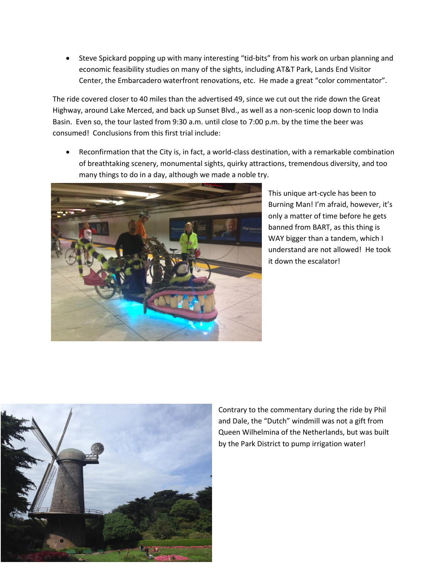Steve Spickard popping up with many interesting "tid-bits" from his work on urban planning and economic feasibility studies on many of the sights, including AT&T Park, Lands End Visitor Center, the Embarcadero waterfront renovations, etc. He made a great "color commentator".

The ride covered closer to 40 miles than the advertised 49, since we cut out the ride down the Great Highway, around Lake Merced, and back up Sunset Blvd., as well as a non-scenic loop down to India Basin. Even so, the tour lasted from 9:30 a.m. until close to 7:00 p.m. by the time the beer was consumed! Conclusions from this first trial include:

 Reconfirmation that the City is, in fact, a world-class destination, with a remarkable combination of breathtaking scenery, monumental sights, quirky attractions, tremendous diversity, and too many things to do in a day, although we made a noble try.



This unique art-cycle has been to Burning Man! I'm afraid, however, it's only a matter of time before he gets banned from BART, as this thing is WAY bigger than a tandem, which I understand are not allowed! He took it down the escalator!



Contrary to the commentary during the ride by Phil and Dale, the "Dutch" windmill was not a gift from Queen Wilhelmina of the Netherlands, but was built by the Park District to pump irrigation water!